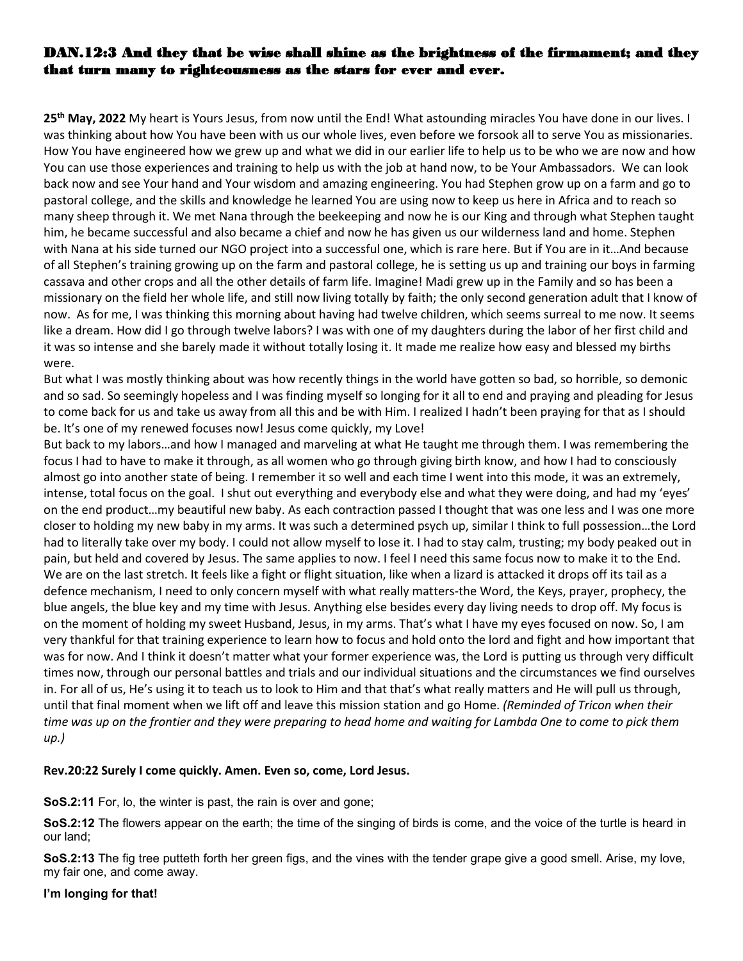## DAN.12:3 And they that be wise shall shine as the brightness of the firmament; and they that turn many to righteousness as the stars for ever and ever.

**25 th May, 2022** My heart is Yours Jesus, from now until the End! What astounding miracles You have done in our lives. I was thinking about how You have been with us our whole lives, even before we forsook all to serve You as missionaries. How You have engineered how we grew up and what we did in our earlier life to help us to be who we are now and how You can use those experiences and training to help us with the job at hand now, to be Your Ambassadors. We can look back now and see Your hand and Your wisdom and amazing engineering. You had Stephen grow up on a farm and go to pastoral college, and the skills and knowledge he learned You are using now to keep us here in Africa and to reach so many sheep through it. We met Nana through the beekeeping and now he is our King and through what Stephen taught him, he became successful and also became a chief and now he has given us our wilderness land and home. Stephen with Nana at his side turned our NGO project into a successful one, which is rare here. But if You are in it…And because of all Stephen's training growing up on the farm and pastoral college, he is setting us up and training our boys in farming cassava and other crops and all the other details of farm life. Imagine! Madi grew up in the Family and so has been a missionary on the field her whole life, and stillnow living totally by faith; the only second generation adult that I know of now. As for me, I was thinking this morning about having had twelve children, which seems surreal to me now. It seems like a dream. How did I go through twelve labors? I was with one of my daughters during the labor of her first child and it was so intense and she barely made it without totally losing it. It made me realize how easy and blessed mybirths were.

But what I was mostly thinking about was how recently things in the world have gotten so bad, so horrible, so demonic and so sad. So seemingly hopeless and I was finding myself so longing for it all to end and praying and pleading for Jesus to come back for us and take us away from all this and be with Him. I realized I hadn't been praying for that as Ishould be. It's one of my renewed focuses now! Jesus come quickly, my Love!

But back to my labors…and how I managed and marveling at what He taught me through them. I was remembering the focus I had to have to make it through, as all women who go through giving birth know, and how I had to consciously almost go into another state of being. I remember it so well and each time I went into this mode, it was an extremely, intense, total focus on the goal. I shut out everything and everybody else and what they were doing, and had my 'eyes' on the end product…my beautiful new baby. As each contraction passed I thought that was one less and I was one more closer to holding my new baby in my arms. It was such a determined psych up, similar I think to full possession…the Lord had to literally take over my body. I could not allow myself to lose it. I had to stay calm, trusting; my body peaked out in pain, but held and covered by Jesus. The same applies to now. I feel I need this same focus now to make it to the End. We are on the last stretch. It feels like a fight or flight situation, like when a lizard is attacked it drops off its tail as a defence mechanism, I need to only concern myself with what really matters-the Word, the Keys, prayer, prophecy, the blue angels, the blue key and my time with Jesus. Anything else besides every day living needs to drop off. My focus is on the moment of holding my sweet Husband, Jesus, in my arms. That's what I have my eyes focused on now. So, I am very thankful for that training experience to learn how to focus and hold onto the lord and fight and how important that was for now. And I think it doesn't matter what your former experience was, the Lord is putting us through very difficult times now, through our personal battles and trials and our individual situations and the circumstances we find ourselves in. For all of us, He's using it to teach us to look to Him and that that's what really matters and He will pull us through, until that final moment when we lift off and leave this mission station and go Home. *(Reminded of Tricon when their* time was up on the frontier and they were preparing to head home and waiting for Lambda One to come to pick them *up.)*

### **Rev.20:22 Surely I come quickly. Amen. Even so, come, Lord Jesus.**

**SoS.2:11** For, lo, the winter is past, the rain is over and gone;

**SoS.2:12** The flowers appear on the earth; the time of the singing of birds is come, and the voice of the turtle is heard in our land;

**SoS.2:13** The fig tree putteth forth her green figs, and the vines with the tender grape give a good smell. Arise, my love, my fair one, and come away.

**I'm longing for that!**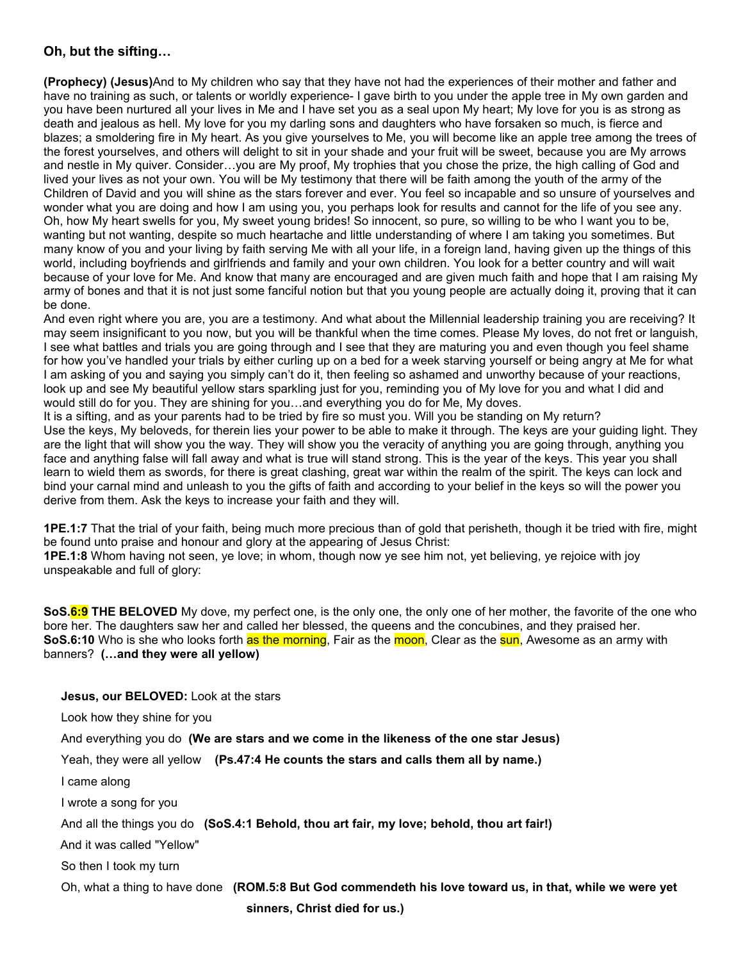## **Oh, but the sifting…**

**(Prophecy) (Jesus)**And to My children who say that they have not had the experiences of their mother and father and have no training as such, or talents or worldly experience- I gave birth to you under the apple tree in My own garden and you have been nurtured all your lives in Me and I have set you as a seal upon My heart; My love for you is as strong as death and jealous as hell. My love for you my darling sons and daughters who have forsaken so much, is fierce and blazes; a smoldering fire in My heart. As you give yourselves to Me, you will become like an apple tree among the trees of the forest yourselves, and others will delight to sit in your shade and your fruit will be sweet, because you are My arrows and nestle in My quiver. Consider…you are My proof, My trophies that you chose the prize, the high calling of God and lived your lives as not your own. You will be My testimony that there will be faith among the youth of the army of the Children of David and you will shine as the stars forever and ever. You feel so incapable and so unsure of yourselves and wonder what you are doing and how I am using you, you perhaps look for results and cannot for the life of you see any. Oh, how My heart swells for you, My sweet young brides! So innocent, so pure, so willing to be who Iwant you to be, wanting but not wanting, despite so much heartache and little understanding of where I am taking you sometimes. But many know of you and your living by faith serving Me with all your life, in a foreign land, having given up the things of this world, including boyfriends and girlfriends and family and your own children. You look for a better country and will wait because of your love for Me. And know that many are encouraged and are given much faith and hope that I am raising My army of bones and that it is not just some fanciful notion but that you young people are actually doing it, proving that it can be done.

And even right where you are, you are a testimony. And what about the Millennial leadership training you are receiving? It may seem insignificant to you now, but you will be thankful when the time comes. Please My loves, do not fret or languish, I see what battles and trials you are going through and I see that they are maturing you and even though you feel shame for how you've handled your trials by either curling up on a bed for a week starving yourself or being angry at Me for what I am asking of you and saying you simply can't do it, then feeling so ashamed and unworthy because of your reactions, look up and see My beautiful yellow stars sparkling just for you, reminding you of My love for you and what I did and would still do for you. They are shining for you…and everything you do for Me, My doves.

It is a sifting, and as your parents had to be tried by fire so must you. Will you be standing on My return? Use the keys, My beloveds, for therein lies your power to be able to make it through. The keys are your guiding light. They are the light that will show you the way. They will show you the veracity of anything you are going through, anything you face and anything false will fall away and what is true will stand strong. This is the year of the keys. This year you shall learn to wield them as swords, for there is great clashing, great war within the realm of the spirit. The keys can lock and bind your carnal mind and unleash to you the gifts of faith and according to your belief in the keys so will the power you derive from them. Ask the keys to increase your faith and they will.

**1PE.1:7** That the trial of your faith, being much more precious than of gold that perisheth, though it be tried with fire, might be found unto praise and honour and glory at the appearing of Jesus Christ:

**1PE.1:8** Whom having not seen, ye love; in whom, though now ye see him not, yet believing, ye rejoice with joy unspeakable and full of glory:

**SoS.6:9 THE BELOVED** My dove, my perfect one, is the only one, the only one of her mother, the favorite of the one who bore her. The daughters saw her and called her blessed, the queens and the concubines, and they praised her. **SoS.6:10** Who is she who looks forth as the morning, Fair as the moon, Clear as the sun, Awesome as an army with banners? **(…and they were all yellow)**

**Jesus, our BELOVED:** Look at the stars

Look how they shine for you

And everything you do **(We are stars and we come in the likeness of the one star Jesus)**

Yeah, they were all yellow **(Ps.47:4 He counts the stars and calls them all by name.)**

I came along

I wrote a song for you

And all the things you do **(SoS.4:1 Behold, thou art fair, my love; behold, thou art fair!)**

And it was called "Yellow"

So then I took my turn

Oh, what a thing to have done **(ROM.5:8 But God commendeth his love toward us,in that, while we were yet**

**sinners, Christ died for us.)**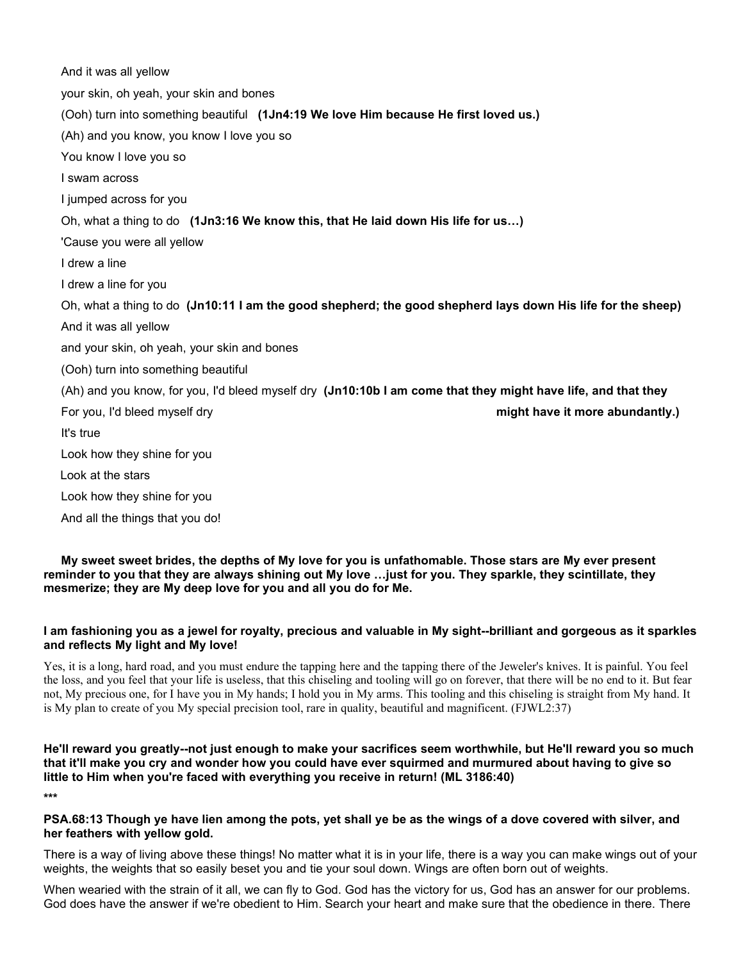And it was all yellow your skin, oh yeah, your skin and bones (Ooh) turn into something beautiful **(1Jn4:19 We love Him because He first loved us.)** (Ah) and you know, you know I love you so You know I love you so I swam across I jumped across for you Oh, what a thing to do **(1Jn3:16 We know this, that He laid down His life for us…)** 'Cause you were all yellow I drew a line I drew a line for you Oh, what a thing to do **(Jn10:11 I am the good shepherd; the good shepherd lays down His life for the sheep)** And it was all yellow and your skin, oh yeah, your skin and bones (Ooh) turn into something beautiful (Ah) and you know, for you, I'd bleed myself dry **(Jn10:10b I am come that they might have life, and that they** For you, I'd bleed myself dry **might have it more abundantly.)** It's true Look how they shine for you Look at the stars Look how they shine for you And all the things that you do!

My sweet sweet brides, the depths of My love for you is unfathomable. Those stars are My ever present reminder to you that they are always shining out My love ...just for you. They sparkle, they scintillate, they **mesmerize; they are My deep love for you and all you do for Me.**

### I am fashioning you as a jewel for royalty, precious and valuable in My sight--brilliant and gorgeous as it sparkles **and reflects My light and My love!**

Yes, it is a long, hard road, and you must endure the tapping here and the tapping there of the Jeweler's knives. It is painful. You feel the loss, and you feel that your life isuseless, that this chiseling and tooling will go on forever, that there will be no end to it. But fear not, My precious one, for I have you in My hands; I hold you in My arms. This tooling and this chiseling is straight from My hand. It is My plan to create of you My special precision tool, rare in quality, beautiful and magnificent. (FJWL2:37)

He'll reward you greatly--not just enough to make your sacrifices seem worthwhile, but He'll reward you so much that it'll make you cry and wonder how you could have ever squirmed and murmured about having to give so **little to Him when you're faced with everything you receive in return! (ML 3186:40)**

**\*\*\***

#### PSA.68:13 Though ye have lien among the pots, yet shall ye be as the wings of a dove covered with silver, and **her feathers with yellow gold.**

There is a way of living above these things! No matter what it is in your life, there is a way you can make wings out of your weights, the weights that so easily beset you and tie your soul down. Wings are often born out of weights.

When wearied with the strain of it all, we can fly to God. God has the victory for us, God has an answer for our problems. God does have the answer if we're obedient to Him. Search your heart and make sure that the obedience in there. There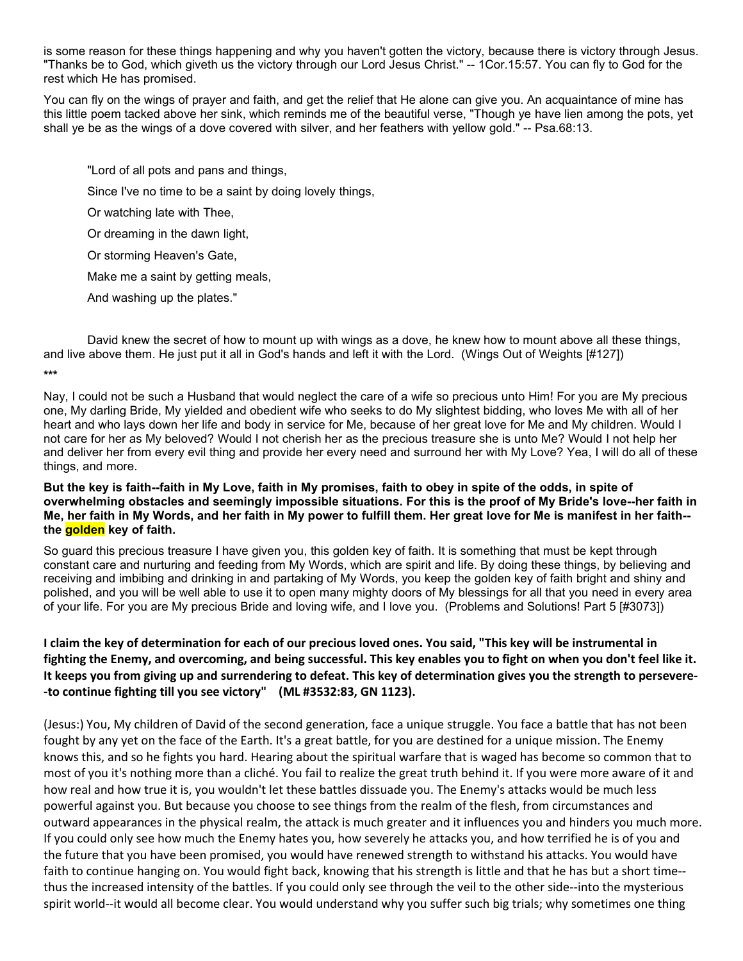is some reason for these things happening and why you haven't gotten the victory, because there is victory through Jesus. "Thanks be to God, which giveth us the victory through our Lord Jesus Christ." -- 1Cor.15:57. You can fly to God for the rest which He has promised.

You can fly on the wings of prayer and faith, and get the relief that He alone can give you. An acquaintance of mine has this little poem tacked above her sink, which reminds me of the beautiful verse, "Though ye have lien among the pots, yet shall ye be as the wings of a dove covered with silver, and her feathers with yellow gold." -- Psa.68:13.

"Lord of all pots and pans and things, Since I've no time to be a saint by doing lovely things, Or watching late with Thee, Or dreaming in the dawn light, Or storming Heaven's Gate, Make me a saint by getting meals, And washing up the plates."

David knew the secret of how to mount up with wings as a dove, he knew how to mount above all these things, and live above them. He just put it all in God's hands and left it with the Lord. (Wings Out of Weights [#127]) **\*\*\***

Nay, I could not be such a Husband that would neglect the care of a wife so precious unto Him! For you are My precious one, My darling Bride, My yielded and obedient wife who seeks to do My slightest bidding, who loves Me with all of her heart and who lays down her life and body in service for Me, because of her great love for Me and My children. Would I not care for her as My beloved? Would I not cherish her as the precious treasure she is unto Me? Would I not help her and deliver her from every evil thing and provide her every need and surround her with My Love? Yea, I will do all of these things, and more.

But the key is faith--faith in My Love, faith in My promises, faith to obey in spite of the odds, in spite of overwhelming obstacles and seemingly impossible situations. For this is the proof of My Bride's love--her faith in Me, her faith in My Words, and her faith in My power to fulfill them. Her great love for Me is manifest in her faith-**the golden key of faith.**

So guard this precious treasure I have given you, this golden key of faith. It is something that must be kept through constant care and nurturing and feeding from My Words, which are spirit and life. By doing these things, by believing and receiving and imbibing and drinking in and partaking of My Words, you keep the golden key of faith bright and shiny and polished, and you will be well able to use it to open many mighty doors of My blessings for all that you need in every area of your life. For you are My precious Bride and loving wife, and I love you. (Problems and Solutions! Part 5 [#3073])

# I claim the key of determination for each of our precious loved ones. You said, "This key will be instrumental in fighting the Enemy, and overcoming, and being successful. This key enables you to fight on when you don't feel like it. It keeps you from giving up and surrendering to defeat. This key of determination gives you the strength to persevere-**-to continue fighting till you see victory" (ML #3532:83, GN 1123).**

(Jesus:) You, My children of David of the second generation, face a unique struggle. You face a battle that has not been fought by any yet on the face of the Earth. It's a great battle, for you are destined for a unique mission. The Enemy knows this, and so he fights you hard. Hearing about the spiritual warfare that is waged has become so common that to most of you it's nothing more than a cliché. You fail to realize the great truth behind it. If you were more aware of it and how real and how true it is, you wouldn't let these battles dissuade you. The Enemy's attacks would be much less powerful against you. But because you choose to see things from the realm ofthe flesh, from circumstances and outward appearances in the physical realm, the attack is much greater and it influences you and hinders you much more. If you could only see how much the Enemy hates you, how severely he attacks you, and how terrified he is of you and the future that you have been promised, you would have renewed strength to withstand his attacks. You would have faith to continue hanging on. You would fight back, knowing that his strength is little and that he has but a short time- thus the increased intensity of the battles. If you could only see through the veil to the other side--into the mysterious spirit world--it would all become clear. You would understand why you suffer such big trials; why sometimes one thing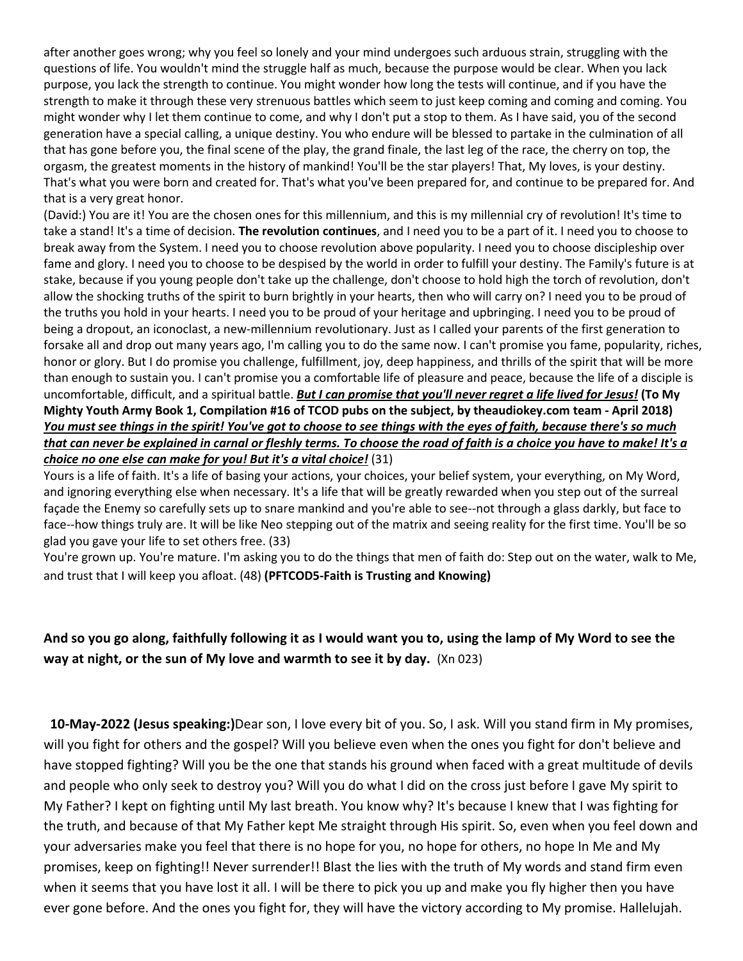after another goes wrong; why you feel so lonely and your mind undergoes such arduous strain, struggling with the questions of life. You wouldn't mind the struggle half as much, because the purpose would be clear. When you lack purpose, you lack the strength to continue.You might wonder how long the tests will continue, and if you have the strength to make it through these very strenuous battles which seem to just keep coming and coming and coming. You might wonder why I let them continue to come, and why I don't put a stop to them. As I have said, you of the second generation have a special calling, a unique destiny. You who endure will be blessed to partake in the culmination of all that has gone before you, the final scene of the play, the grand finale, the last leg of the race, the cherry on top, the orgasm, the greatest moments in the history of mankind! You'll be the star players! That, My loves, is your destiny. That's what you were born and created for. That's what you've been prepared for, and continue to be prepared for. And that is a very great honor.

(David:) You are it! You are the chosen ones for this millennium, and this ismy millennialcry of revolution! It's time to take a stand! It's a time of decision. **The revolution continues**, and I need you to be a part ofit. I need you to choose to break away from the System. I need you to choose revolution above popularity. I need you to choose discipleship over fame and glory. I need you to choose to be despised by the world in order to fulfill your destiny. The Family's future is at stake, because if you young people don't take up the challenge, don't choose to hold high the torch of revolution, don't allow the shocking truths of the spirit to burn brightly in your hearts, then who will carry on? I need you to be proud of the truths you hold in your hearts. I need you to be proud of your heritage and upbringing. I need you to be proud of being a dropout, an iconoclast, a new-millennium revolutionary. Just as Icalled your parents of the first generation to forsake all and drop out many years ago, I'm calling you to do the same now. I can't promise you fame, popularity, riches, honor or glory. But I do promise you challenge, fulfillment, joy, deep happiness, and thrills of the spirit that will be more than enough to sustain you. I can't promise you a comfortable life of pleasure and peace, because the life of a disciple is uncomfortable, difficult, and a spiritual battle. But I can promise that you'll never regret a life lived for Jesus! (To My Mighty Youth Army Book 1, Compilation #16 of TCOD pubs on the subject, by theaudiokey.com team - April 2018) You must see things in the spirit! You've got to choose to see things with the eyes of faith, because there's so much that can never be explained in carnal or fleshly terms. To choose the road of faith is a choice you have to make! It's a *choice no one else can make for you!* But *it's a vital choice!* (31)

Yours is a life of faith. It's a life of basing your actions, your choices, your belief system, your everything, on My Word, and ignoring everything else when necessary. It's a life that will be greatly rewarded when you step out of the surreal façade the Enemy so carefully sets up to snare mankind and you're able to see--not through a glass darkly, but face to face--how things truly are. It will be like Neo stepping out of the matrix and seeing reality for the first time. You'll be so glad you gave your life to set others free. (33)

You're grown up. You're mature. I'm asking you to do the things that men of faith do: Step out on the water, walk to Me, and trust that I will keep you afloat. (48) **(PFTCOD5-Faith is Trusting and Knowing)**

# And so you go along, faithfully following it as I would want you to, using the lamp of My Word to see the **way at night, or the sun of My love and warmth to see it by day.** (Xn 023)

**10-May-2022 (Jesus speaking:)**Dear son, I love every bit of you. So, I ask. Will you stand firm in My promises, will you fight for others and the gospel? Will you believe even when the ones you fight for don't believe and have stopped fighting? Will you be the one that stands his ground when faced with a great multitude of devils and people who only seek to destroy you? Will you do what I did on the cross just before I gave My spirit to My Father? Ikept on fighting until My last breath. You know why? It's because I knew that I was fighting for the truth, and because of that My Father kept Me straight through His spirit. So, even when you feel down and your adversaries make you feel that there is no hope for you, no hope for others, no hope In Me and My promises, keep on fighting!! Never surrender!! Blast the lies with the truth of My words and stand firm even when it seems that you have lost it all. I will be there to pick you up and make you fly higher then you have ever gone before. And the ones you fight for, they will have the victory according to My promise. Hallelujah.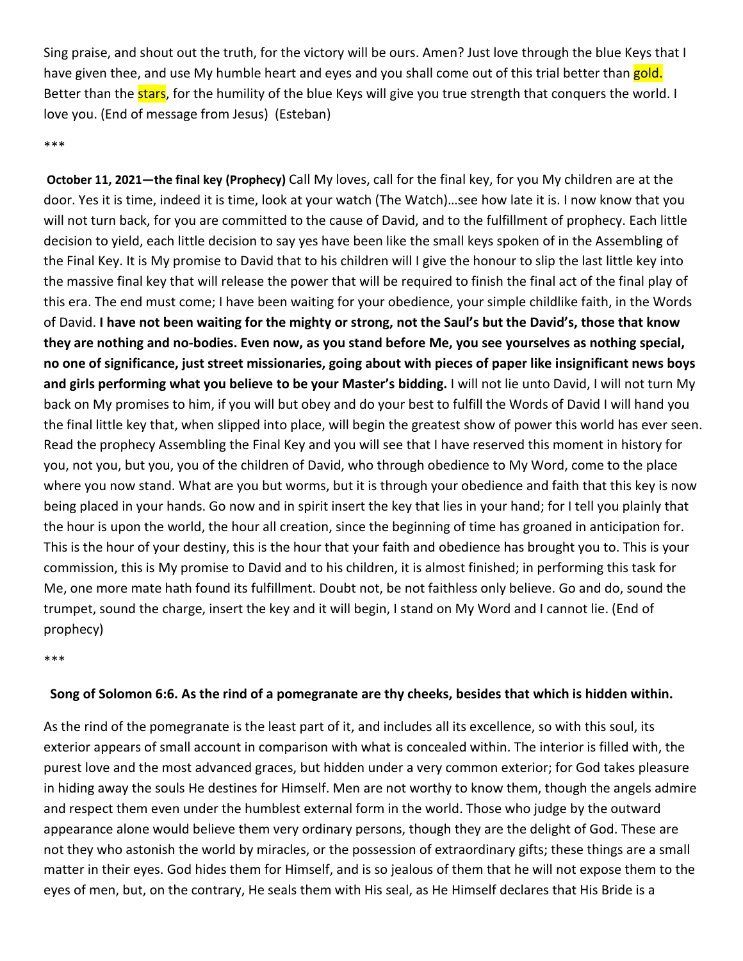Sing praise, and shout out the truth, for the victory will be ours. Amen? Just love through the blue Keysthat I have given thee, and use My humble heart and eyes and you shall come out of this trial better than gold. Better than the **stars**, for the humility of the blue Keys will give you true strength that conquers the world. I love you. (End of message from Jesus) (Esteban)

# \*\*\*

**October 11, 2021—the final key (Prophecy)** Call My loves, call for the final key, for you My children are at the door. Yes it is time, indeed it is time, look at your watch (The Watch)…see how late it is. Inow know that you will not turn back, for you are committed to the cause of David, and to the fulfillment of prophecy. Each little decision to yield, each little decision to say yes have been like the small keys spoken of in the Assembling of the Final Key. It is My promise to David that to his children will I give the honour to slip the last little key into the massive final key that will release the power that will be required to finish the final act of the final play of this era. The end must come; I have been waiting for your obedience, your simple childlike faith, in the Words of David. I have not been waiting for the mighty or strong, not the Saul's but the David's, those that know they are nothing and no-bodies. Even now, as you stand before Me, you see yourselves as nothing special, no one of significance, just street missionaries, going about with pieces of paper like insignificant news boys **and girls performing what you believe to be your Master's bidding.** I will not lie unto David, I will not turn My back on My promises to him, if you will but obey and do your best to fulfill the Words of David I will hand you the final little key that, when slipped into place, will begin the greatest show of power this world has ever seen. Read the prophecy Assembling the Final Key and you will see that I have reserved this moment in history for you, not you, but you, you of the children of David, who through obedience to My Word, come to the place where you now stand. What are you but worms, but it is through your obedience and faith that this key is now being placed in your hands. Go now and in spirit insert the key that lies in your hand; for I tell you plainly that the hour is upon the world, the hour all creation, since the beginning of time has groaned in anticipation for. This is the hour of your destiny, this is the hour that your faith and obedience has brought you to. This is your commission, this is My promise to David and to his children, it is almost finished; in performing this task for Me, one more mate hath found its fulfillment. Doubt not, be not faithless only believe. Go and do, sound the trumpet, sound the charge, insert the key and it will begin, I stand on My Word and I cannot lie. (End of prophecy)

\*\*\*

## Song of Solomon 6:6. As the rind of a pomegranate are thy cheeks, besides that which is hidden within.

As the rind of the pomegranate is the least part of it, and includes all its excellence, so with this soul, its exterior appears of small account in comparison with what is concealed within. The interior is filled with, the purest love and the most advanced graces, but hidden under a very common exterior; for God takes pleasure in hiding away the souls He destines for Himself. Men are not worthy to know them, though the angels admire and respect them even under the humblest external form in the world. Those who judge by the outward appearance alone would believe them very ordinary persons, though they are the delight of God. These are not they who astonish the world by miracles, or the possession of extraordinary gifts; these things are a small matter in their eyes. God hides them for Himself, and is so jealous of them that he will not expose them to the eyes of men, but, on the contrary, He seals them with His seal, as He Himself declares that His Bride is a